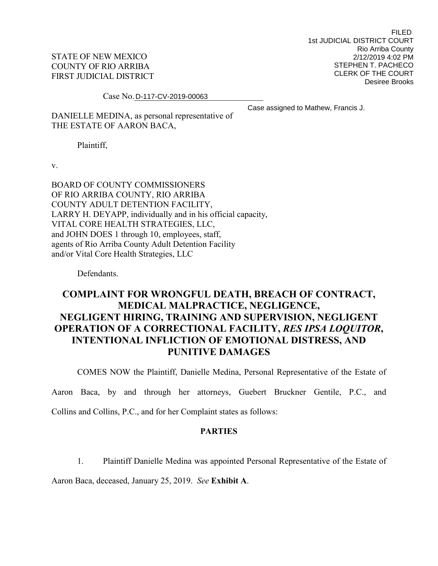STATE OF NEW MEXICO COUNTY OF RIO ARRIBA FIRST JUDICIAL DISTRICT

FILED 1st JUDICIAL DISTRICT COURT Rio Arriba County 2/12/2019 4:02 PM STEPHEN T. PACHECO CLERK OF THE COURT Desiree Brooks

Case No. D-117-CV-2019-00063

Case assigned to Mathew, Francis J.

DANIELLE MEDINA, as personal representative of THE ESTATE OF AARON BACA,

Plaintiff,

v.

BOARD OF COUNTY COMMISSIONERS OF RIO ARRIBA COUNTY, RIO ARRIBA COUNTY ADULT DETENTION FACILITY, LARRY H. DEYAPP, individually and in his official capacity, VITAL CORE HEALTH STRATEGIES, LLC, and JOHN DOES 1 through 10, employees, staff, agents of Rio Arriba County Adult Detention Facility and/or Vital Core Health Strategies, LLC

Defendants.

# **COMPLAINT FOR WRONGFUL DEATH, BREACH OF CONTRACT, MEDICAL MALPRACTICE, NEGLIGENCE, NEGLIGENT HIRING, TRAINING AND SUPERVISION, NEGLIGENT OPERATION OF A CORRECTIONAL FACILITY,** *RES IPSA LOQUITOR***, INTENTIONAL INFLICTION OF EMOTIONAL DISTRESS, AND PUNITIVE DAMAGES**

COMES NOW the Plaintiff, Danielle Medina, Personal Representative of the Estate of

Aaron Baca, by and through her attorneys, Guebert Bruckner Gentile, P.C., and

Collins and Collins, P.C., and for her Complaint states as follows:

### **PARTIES**

1. Plaintiff Danielle Medina was appointed Personal Representative of the Estate of

Aaron Baca, deceased, January 25, 2019. *See* **Exhibit A**.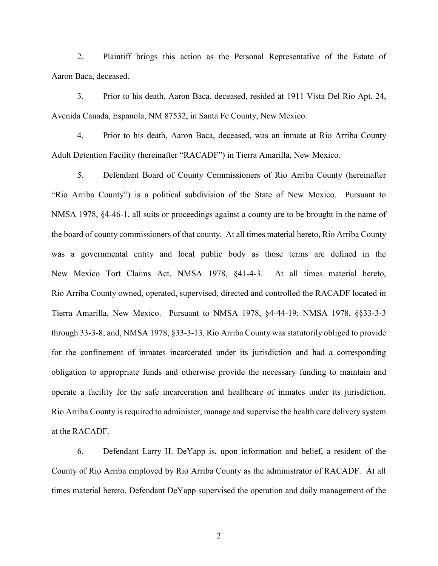2. Plaintiff brings this action as the Personal Representative of the Estate of Aaron Baca, deceased.

3. Prior to his death, Aaron Baca, deceased, resided at 1911 Vista Del Rio Apt. 24, Avenida Canada, Espanola, NM 87532, in Santa Fe County, New Mexico.

4. Prior to his death, Aaron Baca, deceased, was an inmate at Rio Arriba County Adult Detention Facility (hereinafter "RACADF") in Tierra Amarilla, New Mexico.

5. Defendant Board of County Commissioners of Rio Arriba County (hereinafter "Rio Arriba County") is a political subdivision of the State of New Mexico. Pursuant to NMSA 1978, §4-46-1, all suits or proceedings against a county are to be brought in the name of the board of county commissioners of that county. At all times material hereto, Rio Arriba County was a governmental entity and local public body as those terms are defined in the New Mexico Tort Claims Act, NMSA 1978, §41-4-3. At all times material hereto, Rio Arriba County owned, operated, supervised, directed and controlled the RACADF located in Tierra Amarilla, New Mexico. Pursuant to NMSA 1978, §4-44-19; NMSA 1978, §§33-3-3 through 33-3-8; and, NMSA 1978, §33-3-13, Rio Arriba County was statutorily obliged to provide for the confinement of inmates incarcerated under its jurisdiction and had a corresponding obligation to appropriate funds and otherwise provide the necessary funding to maintain and operate a facility for the safe incarceration and healthcare of inmates under its jurisdiction. Rio Arriba County is required to administer, manage and supervise the health care delivery system at the RACADF.

6. Defendant Larry H. DeYapp is, upon information and belief, a resident of the County of Rio Arriba employed by Rio Arriba County as the administrator of RACADF. At all times material hereto, Defendant DeYapp supervised the operation and daily management of the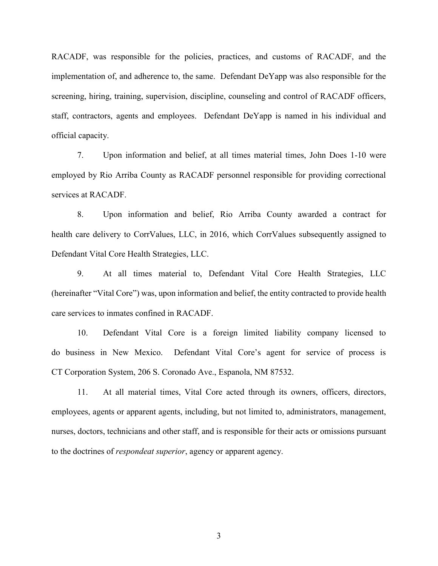RACADF, was responsible for the policies, practices, and customs of RACADF, and the implementation of, and adherence to, the same. Defendant DeYapp was also responsible for the screening, hiring, training, supervision, discipline, counseling and control of RACADF officers, staff, contractors, agents and employees. Defendant DeYapp is named in his individual and official capacity.

7. Upon information and belief, at all times material times, John Does 1-10 were employed by Rio Arriba County as RACADF personnel responsible for providing correctional services at RACADF.

8. Upon information and belief, Rio Arriba County awarded a contract for health care delivery to CorrValues, LLC, in 2016, which CorrValues subsequently assigned to Defendant Vital Core Health Strategies, LLC.

9. At all times material to, Defendant Vital Core Health Strategies, LLC (hereinafter "Vital Core") was, upon information and belief, the entity contracted to provide health care services to inmates confined in RACADF.

10. Defendant Vital Core is a foreign limited liability company licensed to do business in New Mexico. Defendant Vital Core's agent for service of process is CT Corporation System, 206 S. Coronado Ave., Espanola, NM 87532.

11. At all material times, Vital Core acted through its owners, officers, directors, employees, agents or apparent agents, including, but not limited to, administrators, management, nurses, doctors, technicians and other staff, and is responsible for their acts or omissions pursuant to the doctrines of *respondeat superior*, agency or apparent agency.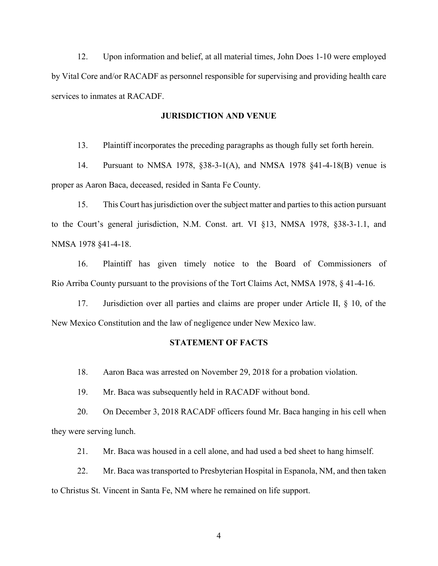12. Upon information and belief, at all material times, John Does 1-10 were employed by Vital Core and/or RACADF as personnel responsible for supervising and providing health care services to inmates at RACADF.

#### **JURISDICTION AND VENUE**

13. Plaintiff incorporates the preceding paragraphs as though fully set forth herein.

14. Pursuant to NMSA 1978, §38-3-1(A), and NMSA 1978 §41-4-18(B) venue is proper as Aaron Baca, deceased, resided in Santa Fe County.

15. This Court has jurisdiction over the subject matter and parties to this action pursuant to the Court's general jurisdiction, N.M. Const. art. VI §13, NMSA 1978, §38-3-1.1, and NMSA 1978 §41-4-18.

16. Plaintiff has given timely notice to the Board of Commissioners of Rio Arriba County pursuant to the provisions of the Tort Claims Act, NMSA 1978, § 41-4-16.

17. Jurisdiction over all parties and claims are proper under Article II, § 10, of the New Mexico Constitution and the law of negligence under New Mexico law.

### **STATEMENT OF FACTS**

18. Aaron Baca was arrested on November 29, 2018 for a probation violation.

19. Mr. Baca was subsequently held in RACADF without bond.

20. On December 3, 2018 RACADF officers found Mr. Baca hanging in his cell when they were serving lunch.

21. Mr. Baca was housed in a cell alone, and had used a bed sheet to hang himself.

22. Mr. Baca was transported to Presbyterian Hospital in Espanola, NM, and then taken to Christus St. Vincent in Santa Fe, NM where he remained on life support.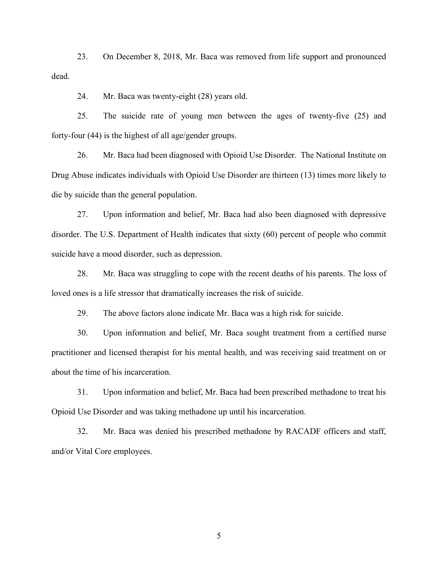23. On December 8, 2018, Mr. Baca was removed from life support and pronounced dead.

24. Mr. Baca was twenty-eight (28) years old.

25. The suicide rate of young men between the ages of twenty-five (25) and forty-four (44) is the highest of all age/gender groups.

26. Mr. Baca had been diagnosed with Opioid Use Disorder. The National Institute on Drug Abuse indicates individuals with Opioid Use Disorder are thirteen (13) times more likely to die by suicide than the general population.

27. Upon information and belief, Mr. Baca had also been diagnosed with depressive disorder. The U.S. Department of Health indicates that sixty (60) percent of people who commit suicide have a mood disorder, such as depression.

28. Mr. Baca was struggling to cope with the recent deaths of his parents. The loss of loved ones is a life stressor that dramatically increases the risk of suicide.

29. The above factors alone indicate Mr. Baca was a high risk for suicide.

30. Upon information and belief, Mr. Baca sought treatment from a certified nurse practitioner and licensed therapist for his mental health, and was receiving said treatment on or about the time of his incarceration.

31. Upon information and belief, Mr. Baca had been prescribed methadone to treat his Opioid Use Disorder and was taking methadone up until his incarceration.

32. Mr. Baca was denied his prescribed methadone by RACADF officers and staff, and/or Vital Core employees.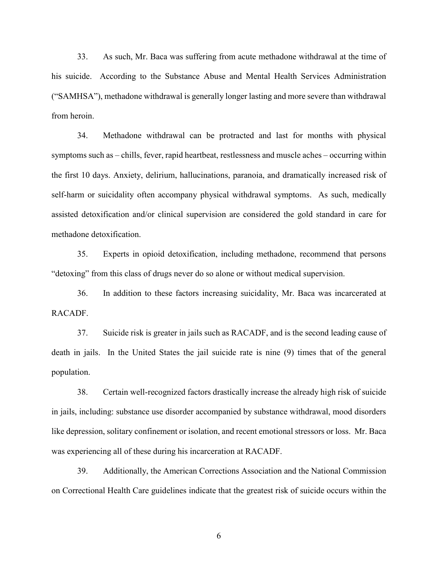33. As such, Mr. Baca was suffering from acute methadone withdrawal at the time of his suicide. According to the Substance Abuse and Mental Health Services Administration ("SAMHSA"), methadone withdrawal is generally longer lasting and more severe than withdrawal from heroin.

34. Methadone withdrawal can be protracted and last for months with physical symptoms such as – chills, fever, rapid heartbeat, restlessness and muscle aches – occurring within the first 10 days. Anxiety, delirium, hallucinations, paranoia, and dramatically increased risk of self-harm or suicidality often accompany physical withdrawal symptoms. As such, medically assisted detoxification and/or clinical supervision are considered the gold standard in care for methadone detoxification.

35. Experts in opioid detoxification, including methadone, recommend that persons "detoxing" from this class of drugs never do so alone or without medical supervision.

36. In addition to these factors increasing suicidality, Mr. Baca was incarcerated at RACADF.

37. Suicide risk is greater in jails such as RACADF, and is the second leading cause of death in jails. In the United States the jail suicide rate is nine (9) times that of the general population.

38. Certain well-recognized factors drastically increase the already high risk of suicide in jails, including: substance use disorder accompanied by substance withdrawal, mood disorders like depression, solitary confinement or isolation, and recent emotional stressors or loss. Mr. Baca was experiencing all of these during his incarceration at RACADF.

39. Additionally, the American Corrections Association and the National Commission on Correctional Health Care guidelines indicate that the greatest risk of suicide occurs within the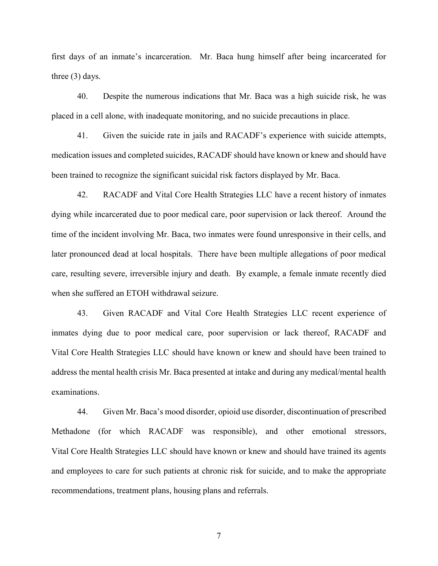first days of an inmate's incarceration. Mr. Baca hung himself after being incarcerated for three (3) days.

40. Despite the numerous indications that Mr. Baca was a high suicide risk, he was placed in a cell alone, with inadequate monitoring, and no suicide precautions in place.

41. Given the suicide rate in jails and RACADF's experience with suicide attempts, medication issues and completed suicides, RACADF should have known or knew and should have been trained to recognize the significant suicidal risk factors displayed by Mr. Baca.

42. RACADF and Vital Core Health Strategies LLC have a recent history of inmates dying while incarcerated due to poor medical care, poor supervision or lack thereof. Around the time of the incident involving Mr. Baca, two inmates were found unresponsive in their cells, and later pronounced dead at local hospitals. There have been multiple allegations of poor medical care, resulting severe, irreversible injury and death. By example, a female inmate recently died when she suffered an ETOH withdrawal seizure.

43. Given RACADF and Vital Core Health Strategies LLC recent experience of inmates dying due to poor medical care, poor supervision or lack thereof, RACADF and Vital Core Health Strategies LLC should have known or knew and should have been trained to address the mental health crisis Mr. Baca presented at intake and during any medical/mental health examinations.

44. Given Mr. Baca's mood disorder, opioid use disorder, discontinuation of prescribed Methadone (for which RACADF was responsible), and other emotional stressors, Vital Core Health Strategies LLC should have known or knew and should have trained its agents and employees to care for such patients at chronic risk for suicide, and to make the appropriate recommendations, treatment plans, housing plans and referrals.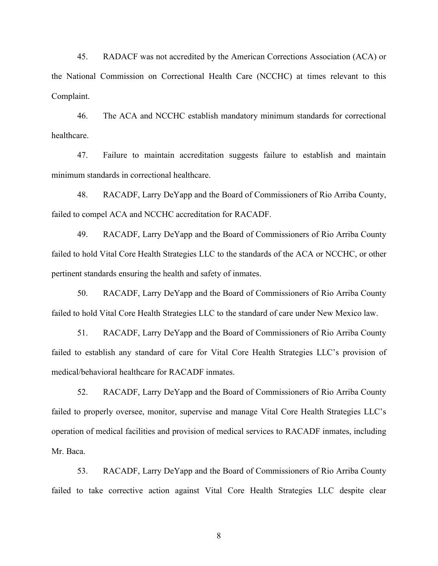45. RADACF was not accredited by the American Corrections Association (ACA) or the National Commission on Correctional Health Care (NCCHC) at times relevant to this Complaint.

46. The ACA and NCCHC establish mandatory minimum standards for correctional healthcare.

47. Failure to maintain accreditation suggests failure to establish and maintain minimum standards in correctional healthcare.

48. RACADF, Larry DeYapp and the Board of Commissioners of Rio Arriba County, failed to compel ACA and NCCHC accreditation for RACADF.

49. RACADF, Larry DeYapp and the Board of Commissioners of Rio Arriba County failed to hold Vital Core Health Strategies LLC to the standards of the ACA or NCCHC, or other pertinent standards ensuring the health and safety of inmates.

50. RACADF, Larry DeYapp and the Board of Commissioners of Rio Arriba County failed to hold Vital Core Health Strategies LLC to the standard of care under New Mexico law.

51. RACADF, Larry DeYapp and the Board of Commissioners of Rio Arriba County failed to establish any standard of care for Vital Core Health Strategies LLC's provision of medical/behavioral healthcare for RACADF inmates.

52. RACADF, Larry DeYapp and the Board of Commissioners of Rio Arriba County failed to properly oversee, monitor, supervise and manage Vital Core Health Strategies LLC's operation of medical facilities and provision of medical services to RACADF inmates, including Mr. Baca.

53. RACADF, Larry DeYapp and the Board of Commissioners of Rio Arriba County failed to take corrective action against Vital Core Health Strategies LLC despite clear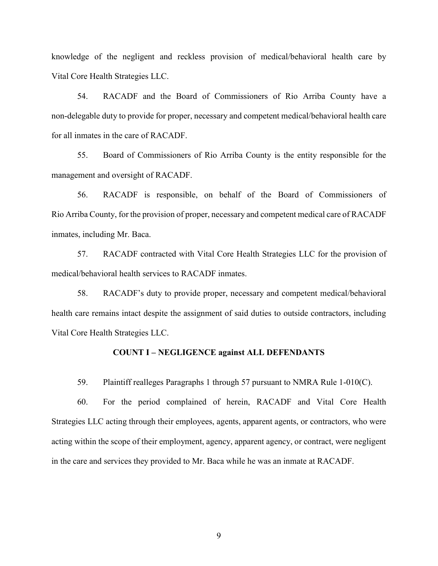knowledge of the negligent and reckless provision of medical/behavioral health care by Vital Core Health Strategies LLC.

54. RACADF and the Board of Commissioners of Rio Arriba County have a non-delegable duty to provide for proper, necessary and competent medical/behavioral health care for all inmates in the care of RACADF.

55. Board of Commissioners of Rio Arriba County is the entity responsible for the management and oversight of RACADF.

56. RACADF is responsible, on behalf of the Board of Commissioners of Rio Arriba County, for the provision of proper, necessary and competent medical care of RACADF inmates, including Mr. Baca.

57. RACADF contracted with Vital Core Health Strategies LLC for the provision of medical/behavioral health services to RACADF inmates.

58. RACADF's duty to provide proper, necessary and competent medical/behavioral health care remains intact despite the assignment of said duties to outside contractors, including Vital Core Health Strategies LLC.

#### **COUNT I – NEGLIGENCE against ALL DEFENDANTS**

59. Plaintiff realleges Paragraphs 1 through 57 pursuant to NMRA Rule 1-010(C).

60. For the period complained of herein, RACADF and Vital Core Health Strategies LLC acting through their employees, agents, apparent agents, or contractors, who were acting within the scope of their employment, agency, apparent agency, or contract, were negligent in the care and services they provided to Mr. Baca while he was an inmate at RACADF.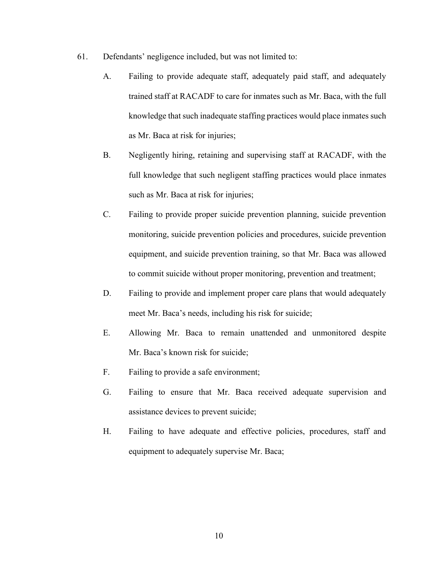- 61. Defendants' negligence included, but was not limited to:
	- A. Failing to provide adequate staff, adequately paid staff, and adequately trained staff at RACADF to care for inmates such as Mr. Baca, with the full knowledge that such inadequate staffing practices would place inmates such as Mr. Baca at risk for injuries;
	- B. Negligently hiring, retaining and supervising staff at RACADF, with the full knowledge that such negligent staffing practices would place inmates such as Mr. Baca at risk for injuries;
	- C. Failing to provide proper suicide prevention planning, suicide prevention monitoring, suicide prevention policies and procedures, suicide prevention equipment, and suicide prevention training, so that Mr. Baca was allowed to commit suicide without proper monitoring, prevention and treatment;
	- D. Failing to provide and implement proper care plans that would adequately meet Mr. Baca's needs, including his risk for suicide;
	- E. Allowing Mr. Baca to remain unattended and unmonitored despite Mr. Baca's known risk for suicide;
	- F. Failing to provide a safe environment;
	- G. Failing to ensure that Mr. Baca received adequate supervision and assistance devices to prevent suicide;
	- H. Failing to have adequate and effective policies, procedures, staff and equipment to adequately supervise Mr. Baca;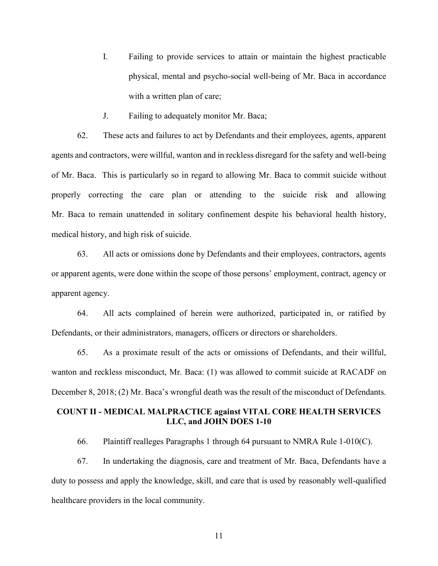- I. Failing to provide services to attain or maintain the highest practicable physical, mental and psycho-social well-being of Mr. Baca in accordance with a written plan of care;
- J. Failing to adequately monitor Mr. Baca;

62. These acts and failures to act by Defendants and their employees, agents, apparent agents and contractors, were willful, wanton and in reckless disregard for the safety and well-being of Mr. Baca. This is particularly so in regard to allowing Mr. Baca to commit suicide without properly correcting the care plan or attending to the suicide risk and allowing Mr. Baca to remain unattended in solitary confinement despite his behavioral health history, medical history, and high risk of suicide.

63. All acts or omissions done by Defendants and their employees, contractors, agents or apparent agents, were done within the scope of those persons' employment, contract, agency or apparent agency.

64. All acts complained of herein were authorized, participated in, or ratified by Defendants, or their administrators, managers, officers or directors or shareholders.

65. As a proximate result of the acts or omissions of Defendants, and their willful, wanton and reckless misconduct, Mr. Baca: (1) was allowed to commit suicide at RACADF on December 8, 2018; (2) Mr. Baca's wrongful death was the result of the misconduct of Defendants.

# **COUNT II - MEDICAL MALPRACTICE against VITAL CORE HEALTH SERVICES LLC, and JOHN DOES 1-10**

66. Plaintiff realleges Paragraphs 1 through 64 pursuant to NMRA Rule 1-010(C).

67. In undertaking the diagnosis, care and treatment of Mr. Baca, Defendants have a duty to possess and apply the knowledge, skill, and care that is used by reasonably well-qualified healthcare providers in the local community.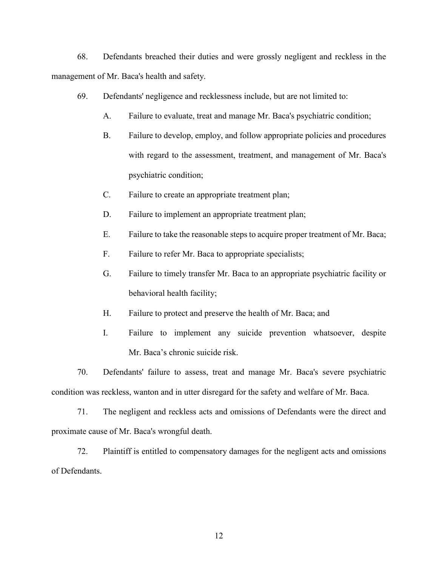68. Defendants breached their duties and were grossly negligent and reckless in the management of Mr. Baca's health and safety.

- 69. Defendants' negligence and recklessness include, but are not limited to:
	- A. Failure to evaluate, treat and manage Mr. Baca's psychiatric condition;
	- B. Failure to develop, employ, and follow appropriate policies and procedures with regard to the assessment, treatment, and management of Mr. Baca's psychiatric condition;
	- C. Failure to create an appropriate treatment plan;
	- D. Failure to implement an appropriate treatment plan;
	- E. Failure to take the reasonable steps to acquire proper treatment of Mr. Baca;
	- F. Failure to refer Mr. Baca to appropriate specialists;
	- G. Failure to timely transfer Mr. Baca to an appropriate psychiatric facility or behavioral health facility;
	- H. Failure to protect and preserve the health of Mr. Baca; and
	- I. Failure to implement any suicide prevention whatsoever, despite Mr. Baca's chronic suicide risk.

70. Defendants' failure to assess, treat and manage Mr. Baca's severe psychiatric condition was reckless, wanton and in utter disregard for the safety and welfare of Mr. Baca.

71. The negligent and reckless acts and omissions of Defendants were the direct and proximate cause of Mr. Baca's wrongful death.

72. Plaintiff is entitled to compensatory damages for the negligent acts and omissions of Defendants.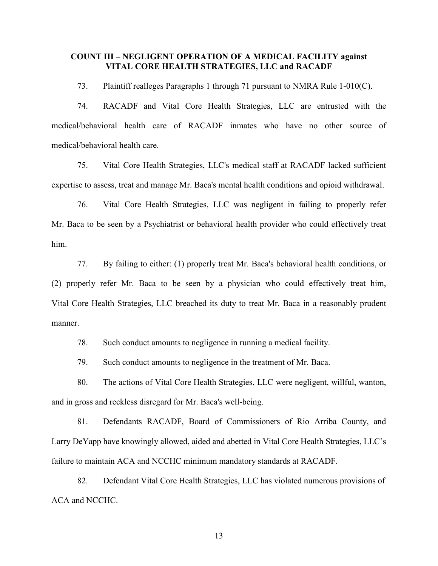### **COUNT III – NEGLIGENT OPERATION OF A MEDICAL FACILITY against VITAL CORE HEALTH STRATEGIES, LLC and RACADF**

73. Plaintiff realleges Paragraphs 1 through 71 pursuant to NMRA Rule 1-010(C).

74. RACADF and Vital Core Health Strategies, LLC are entrusted with the medical/behavioral health care of RACADF inmates who have no other source of medical/behavioral health care.

75. Vital Core Health Strategies, LLC's medical staff at RACADF lacked sufficient expertise to assess, treat and manage Mr. Baca's mental health conditions and opioid withdrawal.

76. Vital Core Health Strategies, LLC was negligent in failing to properly refer Mr. Baca to be seen by a Psychiatrist or behavioral health provider who could effectively treat him.

77. By failing to either: (1) properly treat Mr. Baca's behavioral health conditions, or (2) properly refer Mr. Baca to be seen by a physician who could effectively treat him, Vital Core Health Strategies, LLC breached its duty to treat Mr. Baca in a reasonably prudent manner.

78. Such conduct amounts to negligence in running a medical facility.

79. Such conduct amounts to negligence in the treatment of Mr. Baca.

80. The actions of Vital Core Health Strategies, LLC were negligent, willful, wanton, and in gross and reckless disregard for Mr. Baca's well-being.

81. Defendants RACADF, Board of Commissioners of Rio Arriba County, and Larry DeYapp have knowingly allowed, aided and abetted in Vital Core Health Strategies, LLC's failure to maintain ACA and NCCHC minimum mandatory standards at RACADF.

82. Defendant Vital Core Health Strategies, LLC has violated numerous provisions of ACA and NCCHC.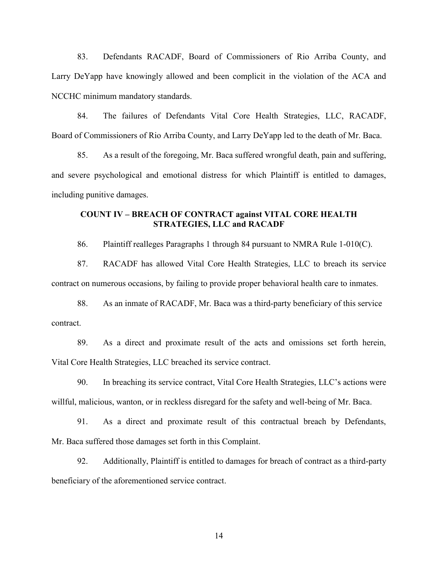83. Defendants RACADF, Board of Commissioners of Rio Arriba County, and Larry DeYapp have knowingly allowed and been complicit in the violation of the ACA and NCCHC minimum mandatory standards.

84. The failures of Defendants Vital Core Health Strategies, LLC, RACADF, Board of Commissioners of Rio Arriba County, and Larry DeYapp led to the death of Mr. Baca.

85. As a result of the foregoing, Mr. Baca suffered wrongful death, pain and suffering, and severe psychological and emotional distress for which Plaintiff is entitled to damages, including punitive damages.

## **COUNT IV – BREACH OF CONTRACT against VITAL CORE HEALTH STRATEGIES, LLC and RACADF**

86. Plaintiff realleges Paragraphs 1 through 84 pursuant to NMRA Rule 1-010(C).

87. RACADF has allowed Vital Core Health Strategies, LLC to breach its service contract on numerous occasions, by failing to provide proper behavioral health care to inmates.

88. As an inmate of RACADF, Mr. Baca was a third-party beneficiary of this service contract.

89. As a direct and proximate result of the acts and omissions set forth herein, Vital Core Health Strategies, LLC breached its service contract.

90. In breaching its service contract, Vital Core Health Strategies, LLC's actions were willful, malicious, wanton, or in reckless disregard for the safety and well-being of Mr. Baca.

91. As a direct and proximate result of this contractual breach by Defendants, Mr. Baca suffered those damages set forth in this Complaint.

92. Additionally, Plaintiff is entitled to damages for breach of contract as a third-party beneficiary of the aforementioned service contract.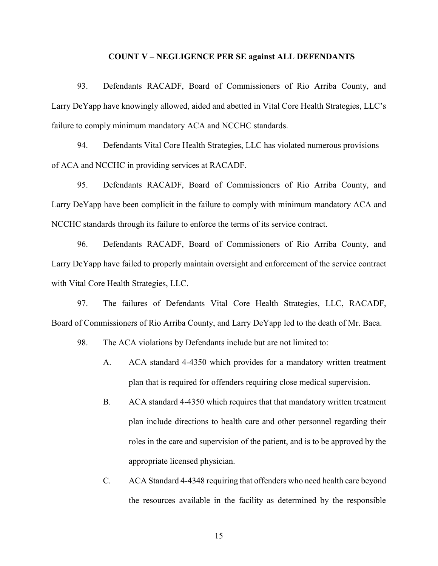#### **COUNT V – NEGLIGENCE PER SE against ALL DEFENDANTS**

93. Defendants RACADF, Board of Commissioners of Rio Arriba County, and Larry DeYapp have knowingly allowed, aided and abetted in Vital Core Health Strategies, LLC's failure to comply minimum mandatory ACA and NCCHC standards.

94. Defendants Vital Core Health Strategies, LLC has violated numerous provisions of ACA and NCCHC in providing services at RACADF.

95. Defendants RACADF, Board of Commissioners of Rio Arriba County, and Larry DeYapp have been complicit in the failure to comply with minimum mandatory ACA and NCCHC standards through its failure to enforce the terms of its service contract.

96. Defendants RACADF, Board of Commissioners of Rio Arriba County, and Larry DeYapp have failed to properly maintain oversight and enforcement of the service contract with Vital Core Health Strategies, LLC.

97. The failures of Defendants Vital Core Health Strategies, LLC, RACADF, Board of Commissioners of Rio Arriba County, and Larry DeYapp led to the death of Mr. Baca.

98. The ACA violations by Defendants include but are not limited to:

- A. ACA standard 4-4350 which provides for a mandatory written treatment plan that is required for offenders requiring close medical supervision.
- B. ACA standard 4-4350 which requires that that mandatory written treatment plan include directions to health care and other personnel regarding their roles in the care and supervision of the patient, and is to be approved by the appropriate licensed physician.
- C. ACA Standard 4-4348 requiring that offenders who need health care beyond the resources available in the facility as determined by the responsible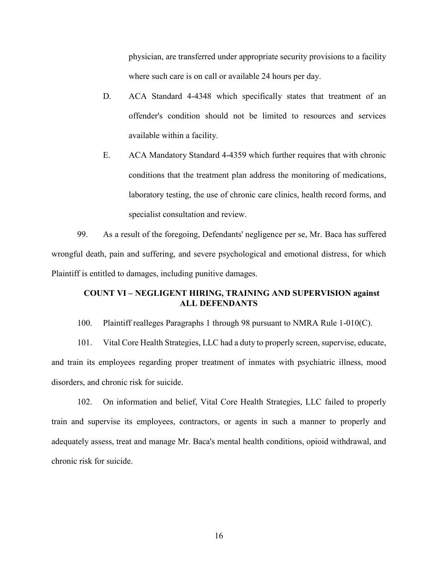physician, are transferred under appropriate security provisions to a facility where such care is on call or available 24 hours per day.

- D. ACA Standard 4-4348 which specifically states that treatment of an offender's condition should not be limited to resources and services available within a facility.
- E. ACA Mandatory Standard 4-4359 which further requires that with chronic conditions that the treatment plan address the monitoring of medications, laboratory testing, the use of chronic care clinics, health record forms, and specialist consultation and review.

99. As a result of the foregoing, Defendants' negligence per se, Mr. Baca has suffered wrongful death, pain and suffering, and severe psychological and emotional distress, for which Plaintiff is entitled to damages, including punitive damages.

### **COUNT VI – NEGLIGENT HIRING, TRAINING AND SUPERVISION against ALL DEFENDANTS**

100. Plaintiff realleges Paragraphs 1 through 98 pursuant to NMRA Rule 1-010(C).

101. Vital Core Health Strategies, LLC had a duty to properly screen, supervise, educate, and train its employees regarding proper treatment of inmates with psychiatric illness, mood disorders, and chronic risk for suicide.

102. On information and belief, Vital Core Health Strategies, LLC failed to properly train and supervise its employees, contractors, or agents in such a manner to properly and adequately assess, treat and manage Mr. Baca's mental health conditions, opioid withdrawal, and chronic risk for suicide.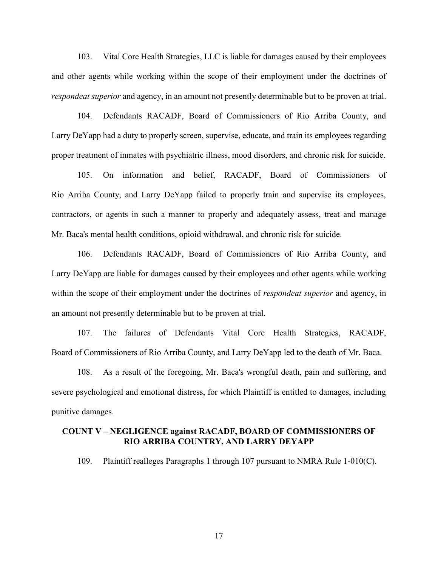103. Vital Core Health Strategies, LLC is liable for damages caused by their employees and other agents while working within the scope of their employment under the doctrines of *respondeat superior* and agency, in an amount not presently determinable but to be proven at trial.

104. Defendants RACADF, Board of Commissioners of Rio Arriba County, and Larry DeYapp had a duty to properly screen, supervise, educate, and train its employees regarding proper treatment of inmates with psychiatric illness, mood disorders, and chronic risk for suicide.

105. On information and belief, RACADF, Board of Commissioners of Rio Arriba County, and Larry DeYapp failed to properly train and supervise its employees, contractors, or agents in such a manner to properly and adequately assess, treat and manage Mr. Baca's mental health conditions, opioid withdrawal, and chronic risk for suicide.

106. Defendants RACADF, Board of Commissioners of Rio Arriba County, and Larry DeYapp are liable for damages caused by their employees and other agents while working within the scope of their employment under the doctrines of *respondeat superior* and agency, in an amount not presently determinable but to be proven at trial.

107. The failures of Defendants Vital Core Health Strategies, RACADF, Board of Commissioners of Rio Arriba County, and Larry DeYapp led to the death of Mr. Baca.

108. As a result of the foregoing, Mr. Baca's wrongful death, pain and suffering, and severe psychological and emotional distress, for which Plaintiff is entitled to damages, including punitive damages.

#### **COUNT V – NEGLIGENCE against RACADF, BOARD OF COMMISSIONERS OF RIO ARRIBA COUNTRY, AND LARRY DEYAPP**

109. Plaintiff realleges Paragraphs 1 through 107 pursuant to NMRA Rule 1-010(C).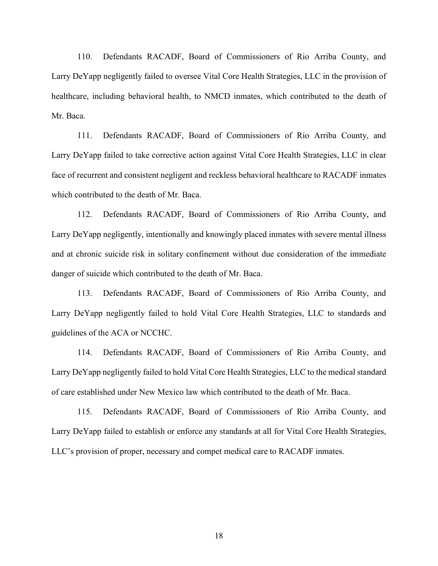110. Defendants RACADF, Board of Commissioners of Rio Arriba County, and Larry DeYapp negligently failed to oversee Vital Core Health Strategies, LLC in the provision of healthcare, including behavioral health, to NMCD inmates, which contributed to the death of Mr. Baca.

111. Defendants RACADF, Board of Commissioners of Rio Arriba County, and Larry DeYapp failed to take corrective action against Vital Core Health Strategies, LLC in clear face of recurrent and consistent negligent and reckless behavioral healthcare to RACADF inmates which contributed to the death of Mr. Baca.

112. Defendants RACADF, Board of Commissioners of Rio Arriba County, and Larry DeYapp negligently, intentionally and knowingly placed inmates with severe mental illness and at chronic suicide risk in solitary confinement without due consideration of the immediate danger of suicide which contributed to the death of Mr. Baca.

113. Defendants RACADF, Board of Commissioners of Rio Arriba County, and Larry DeYapp negligently failed to hold Vital Core Health Strategies, LLC to standards and guidelines of the ACA or NCCHC.

114. Defendants RACADF, Board of Commissioners of Rio Arriba County, and Larry DeYapp negligently failed to hold Vital Core Health Strategies, LLC to the medical standard of care established under New Mexico law which contributed to the death of Mr. Baca.

115. Defendants RACADF, Board of Commissioners of Rio Arriba County, and Larry DeYapp failed to establish or enforce any standards at all for Vital Core Health Strategies, LLC's provision of proper, necessary and compet medical care to RACADF inmates.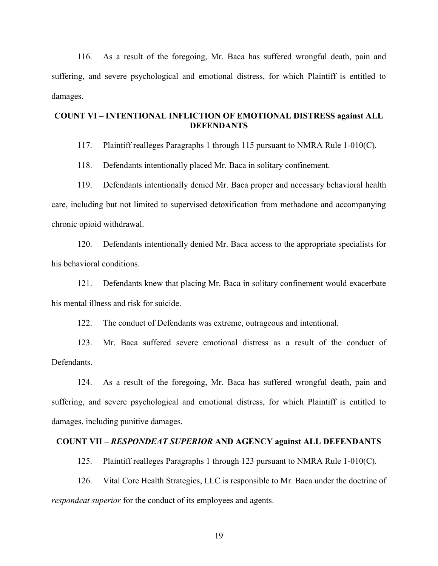116. As a result of the foregoing, Mr. Baca has suffered wrongful death, pain and suffering, and severe psychological and emotional distress, for which Plaintiff is entitled to damages.

## **COUNT VI – INTENTIONAL INFLICTION OF EMOTIONAL DISTRESS against ALL DEFENDANTS**

117. Plaintiff realleges Paragraphs 1 through 115 pursuant to NMRA Rule 1-010(C).

118. Defendants intentionally placed Mr. Baca in solitary confinement.

119. Defendants intentionally denied Mr. Baca proper and necessary behavioral health care, including but not limited to supervised detoxification from methadone and accompanying chronic opioid withdrawal.

120. Defendants intentionally denied Mr. Baca access to the appropriate specialists for his behavioral conditions.

121. Defendants knew that placing Mr. Baca in solitary confinement would exacerbate his mental illness and risk for suicide.

122. The conduct of Defendants was extreme, outrageous and intentional.

123. Mr. Baca suffered severe emotional distress as a result of the conduct of Defendants.

124. As a result of the foregoing, Mr. Baca has suffered wrongful death, pain and suffering, and severe psychological and emotional distress, for which Plaintiff is entitled to damages, including punitive damages.

### **COUNT VII –** *RESPONDEAT SUPERIOR* **AND AGENCY against ALL DEFENDANTS**

125. Plaintiff realleges Paragraphs 1 through 123 pursuant to NMRA Rule 1-010(C).

126. Vital Core Health Strategies, LLC is responsible to Mr. Baca under the doctrine of *respondeat superior* for the conduct of its employees and agents.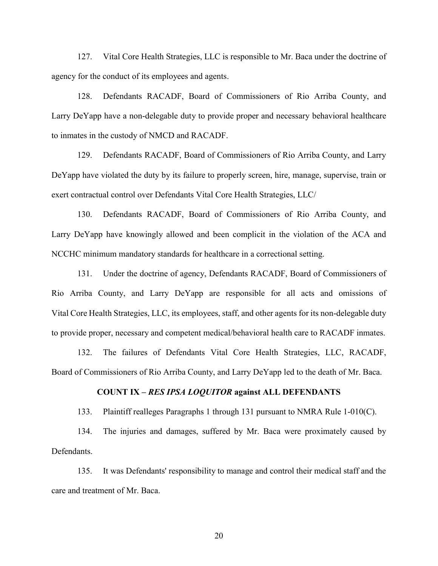127. Vital Core Health Strategies, LLC is responsible to Mr. Baca under the doctrine of agency for the conduct of its employees and agents.

128. Defendants RACADF, Board of Commissioners of Rio Arriba County, and Larry DeYapp have a non-delegable duty to provide proper and necessary behavioral healthcare to inmates in the custody of NMCD and RACADF.

129. Defendants RACADF, Board of Commissioners of Rio Arriba County, and Larry DeYapp have violated the duty by its failure to properly screen, hire, manage, supervise, train or exert contractual control over Defendants Vital Core Health Strategies, LLC/

130. Defendants RACADF, Board of Commissioners of Rio Arriba County, and Larry DeYapp have knowingly allowed and been complicit in the violation of the ACA and NCCHC minimum mandatory standards for healthcare in a correctional setting.

131. Under the doctrine of agency, Defendants RACADF, Board of Commissioners of Rio Arriba County, and Larry DeYapp are responsible for all acts and omissions of Vital Core Health Strategies, LLC, its employees, staff, and other agents for its non-delegable duty to provide proper, necessary and competent medical/behavioral health care to RACADF inmates.

132. The failures of Defendants Vital Core Health Strategies, LLC, RACADF, Board of Commissioners of Rio Arriba County, and Larry DeYapp led to the death of Mr. Baca.

#### **COUNT IX –** *RES IPSA LOQUITOR* **against ALL DEFENDANTS**

133. Plaintiff realleges Paragraphs 1 through 131 pursuant to NMRA Rule 1-010(C).

134. The injuries and damages, suffered by Mr. Baca were proximately caused by Defendants.

135. It was Defendants' responsibility to manage and control their medical staff and the care and treatment of Mr. Baca.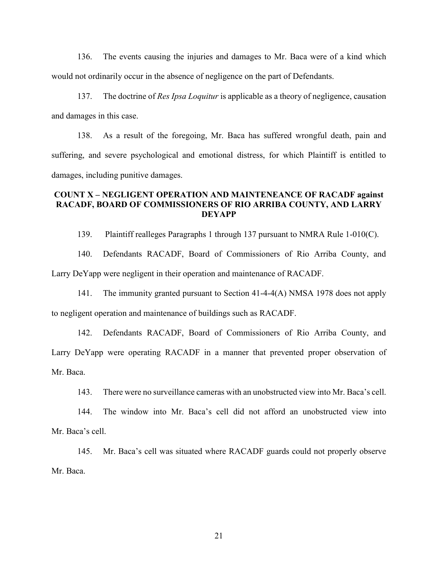136. The events causing the injuries and damages to Mr. Baca were of a kind which would not ordinarily occur in the absence of negligence on the part of Defendants.

137. The doctrine of *Res Ipsa Loquitur* is applicable as a theory of negligence, causation and damages in this case.

138. As a result of the foregoing, Mr. Baca has suffered wrongful death, pain and suffering, and severe psychological and emotional distress, for which Plaintiff is entitled to damages, including punitive damages.

### **COUNT X – NEGLIGENT OPERATION AND MAINTENEANCE OF RACADF against RACADF, BOARD OF COMMISSIONERS OF RIO ARRIBA COUNTY, AND LARRY DEYAPP**

139. Plaintiff realleges Paragraphs 1 through 137 pursuant to NMRA Rule 1-010(C).

140. Defendants RACADF, Board of Commissioners of Rio Arriba County, and Larry DeYapp were negligent in their operation and maintenance of RACADF.

141. The immunity granted pursuant to Section 41-4-4(A) NMSA 1978 does not apply to negligent operation and maintenance of buildings such as RACADF.

142. Defendants RACADF, Board of Commissioners of Rio Arriba County, and Larry DeYapp were operating RACADF in a manner that prevented proper observation of Mr. Baca.

143. There were no surveillance cameras with an unobstructed view into Mr. Baca's cell.

144. The window into Mr. Baca's cell did not afford an unobstructed view into Mr. Baca's cell.

145. Mr. Baca's cell was situated where RACADF guards could not properly observe Mr. Baca.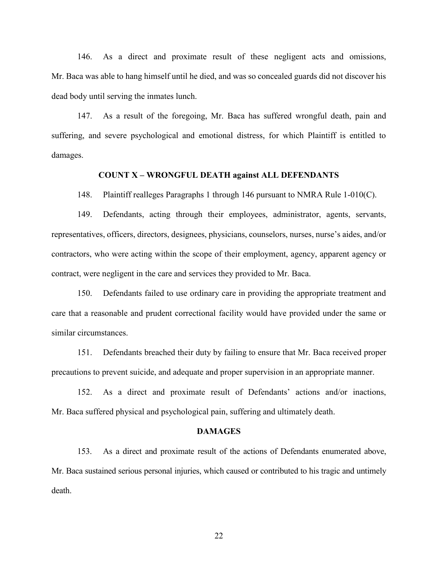146. As a direct and proximate result of these negligent acts and omissions, Mr. Baca was able to hang himself until he died, and was so concealed guards did not discover his dead body until serving the inmates lunch.

147. As a result of the foregoing, Mr. Baca has suffered wrongful death, pain and suffering, and severe psychological and emotional distress, for which Plaintiff is entitled to damages.

#### **COUNT X – WRONGFUL DEATH against ALL DEFENDANTS**

148. Plaintiff realleges Paragraphs 1 through 146 pursuant to NMRA Rule 1-010(C).

149. Defendants, acting through their employees, administrator, agents, servants, representatives, officers, directors, designees, physicians, counselors, nurses, nurse's aides, and/or contractors, who were acting within the scope of their employment, agency, apparent agency or contract, were negligent in the care and services they provided to Mr. Baca.

150. Defendants failed to use ordinary care in providing the appropriate treatment and care that a reasonable and prudent correctional facility would have provided under the same or similar circumstances.

151. Defendants breached their duty by failing to ensure that Mr. Baca received proper precautions to prevent suicide, and adequate and proper supervision in an appropriate manner.

152. As a direct and proximate result of Defendants' actions and/or inactions, Mr. Baca suffered physical and psychological pain, suffering and ultimately death.

#### **DAMAGES**

153. As a direct and proximate result of the actions of Defendants enumerated above, Mr. Baca sustained serious personal injuries, which caused or contributed to his tragic and untimely death.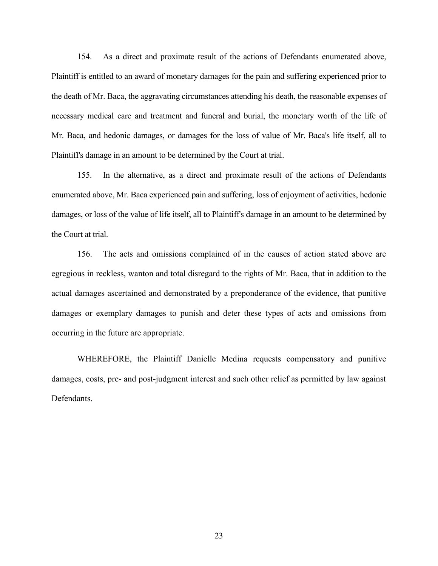154. As a direct and proximate result of the actions of Defendants enumerated above, Plaintiff is entitled to an award of monetary damages for the pain and suffering experienced prior to the death of Mr. Baca, the aggravating circumstances attending his death, the reasonable expenses of necessary medical care and treatment and funeral and burial, the monetary worth of the life of Mr. Baca, and hedonic damages, or damages for the loss of value of Mr. Baca's life itself, all to Plaintiff's damage in an amount to be determined by the Court at trial.

155. In the alternative, as a direct and proximate result of the actions of Defendants enumerated above, Mr. Baca experienced pain and suffering, loss of enjoyment of activities, hedonic damages, or loss of the value of life itself, all to Plaintiff's damage in an amount to be determined by the Court at trial.

156. The acts and omissions complained of in the causes of action stated above are egregious in reckless, wanton and total disregard to the rights of Mr. Baca, that in addition to the actual damages ascertained and demonstrated by a preponderance of the evidence, that punitive damages or exemplary damages to punish and deter these types of acts and omissions from occurring in the future are appropriate.

WHEREFORE, the Plaintiff Danielle Medina requests compensatory and punitive damages, costs, pre- and post-judgment interest and such other relief as permitted by law against Defendants.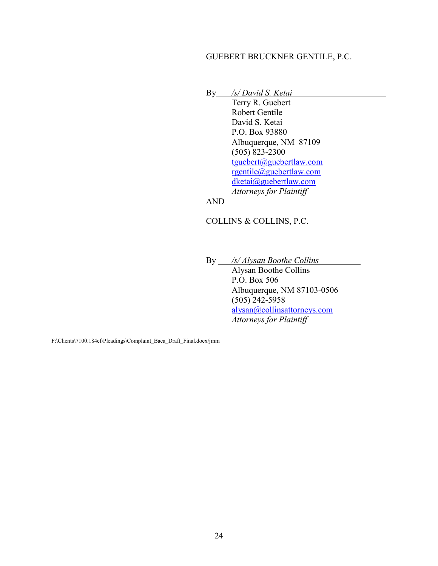### GUEBERT BRUCKNER GENTILE, P.C.

By */s/ David S. Ketai*

Terry R. Guebert Robert Gentile David S. Ketai P.O. Box 93880 Albuquerque, NM 87109 (505) 823-2300 [tguebert@guebertlaw.com](mailto:tguebert@guebertlaw.com) [rgentile@guebertlaw.com](mailto:rgentile@guebertlaw.com) [dketai@guebertlaw.com](mailto:dketai@guebertlaw.com) *Attorneys for Plaintiff* 

AND

COLLINS & COLLINS, P.C.

By */s/ Alysan Boothe Collins* 

Alysan Boothe Collins P.O. Box 506 Albuquerque, NM 87103-0506 (505) 242-5958 [alysan@collinsattorneys.com](mailto:alysan@collinsattorneys.com) *Attorneys for Plaintiff*

F:\Clients\7100.184cf\Pleadings\Complaint\_Baca\_Draft\_Final.docx/jmm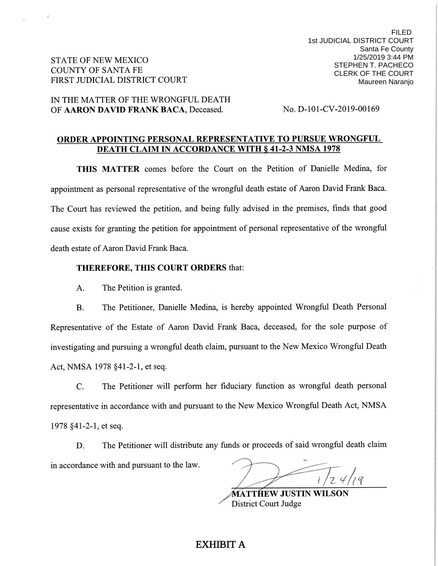**STATE OF NEW MEXICO COUNTY OF SANTA FE** FIRST JUDICIAL DISTRICT COURT

### IN THE MATTER OF THE WRONGFUL DEATH OF AARON DAVID FRANK BACA, Deceased.

No. D-101-CV-2019-00169

### ORDER APPOINTING PERSONAL REPRESENTATIVE TO PURSUE WRONGFUL **DEATH CLAIM IN ACCORDANCE WITH § 41-2-3 NMSA 1978**

THIS MATTER comes before the Court on the Petition of Danielle Medina, for appointment as personal representative of the wrongful death estate of Aaron David Frank Baca. The Court has reviewed the petition, and being fully advised in the premises, finds that good cause exists for granting the petition for appointment of personal representative of the wrongful death estate of Aaron David Frank Baca.

#### **THEREFORE, THIS COURT ORDERS that:**

The Petition is granted.  $A_{\cdot}$ 

The Petitioner, Danielle Medina, is hereby appointed Wrongful Death Personal **B.** Representative of the Estate of Aaron David Frank Baca, deceased, for the sole purpose of investigating and pursuing a wrongful death claim, pursuant to the New Mexico Wrongful Death Act, NMSA 1978 §41-2-1, et seq.

The Petitioner will perform her fiduciary function as wrongful death personal  $C_{\cdot}$ representative in accordance with and pursuant to the New Mexico Wrongful Death Act, NMSA 1978 §41-2-1, et seq.

The Petitioner will distribute any funds or proceeds of said wrongful death claim D. in accordance with and pursuant to the law.

**MATTHEW JUSTIN WILSON District Court Judge** 

# EXHIBIT A